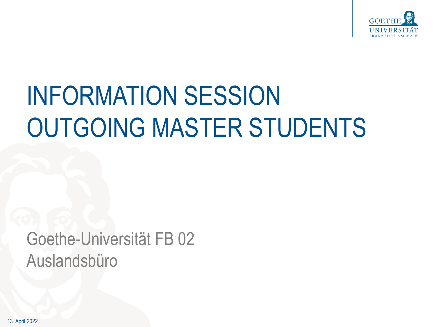

# INFORMATION SESSION OUTGOING MASTER STUDENTS

Goethe-Universität FB 02 Auslandsbüro

13. April 2022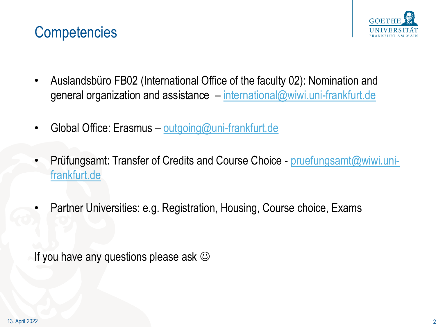

**Competencies** 

- Auslandsbüro FB02 (International Office of the faculty 02): Nomination and general organization and assistance – [international@wiwi.uni-frankfurt.de](mailto:international@wiwi.uni-frankfurt.de)
- Global Office: Erasmus [outgoing@uni-frankfurt.de](mailto:outgoing@uni-frankfurt.de)
- [Prüfungsamt: Transfer of](mailto:pruefungsamt@wiwi.uni-frankfurt.de) Credits and Course Choice pruefungsamt@wiwi.unifrankfurt.de
- Partner Universities: e.g. Registration, Housing, Course choice, Exams

If you have any questions please ask  $\odot$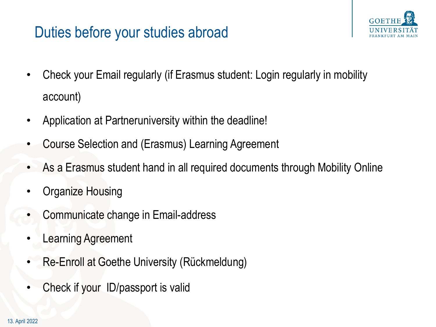# Duties before your studies abroad



- Check your Email regularly (if Erasmus student: Login regularly in mobility account)
- Application at Partneruniversity within the deadline!
- Course Selection and (Erasmus) Learning Agreement
- As a Erasmus student hand in all required documents through Mobility Online
- **Organize Housing**
- Communicate change in Email-address
- Learning Agreement
- Re-Enroll at Goethe University (Rückmeldung)
- Check if your ID/passport is valid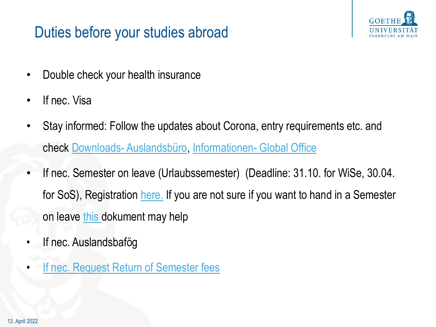## Duties before your studies abroad



- Double check your health insurance
- If nec. Visa
- Stay informed: Follow the updates about Corona, entry requirements etc. and check Downloads- [Auslandsbüro](https://www.wiwi.uni-frankfurt.de/de/international/studieren-im-ausland/downloads.html), [Informationen-](https://www.uni-frankfurt.de/38298489) Global Office
- If nec. Semester on leave (Urlaubssemester) (Deadline: 31.10. for WiSe, 30.04. for SoS), Registration [here.](https://www.uni-frankfurt.de/94430432/Beurlaubung) If you are not sure if you want to hand in a Semester on leave [this d](https://www.wiwi.uni-frankfurt.de/fileadmin/user_upload/dateien_international/Downloads/Urlaubssemester_FB02_.pdf)okument may help
- If nec. Auslandsbafög
- [If nec. Request Return of Semester fees](https://www.studentenwerkfrankfurt.de/beratung-service/semesterticket-haertefonds/)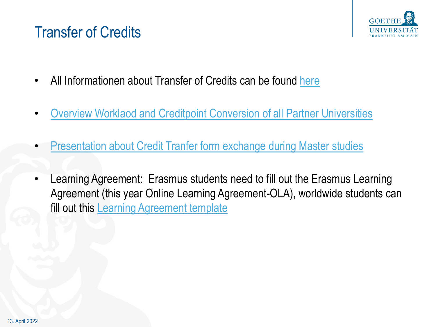## Transfer of Credits



- All Informationen about Transfer of Credits can be found [here](https://www.wiwi.uni-frankfurt.de/studium/studierende/pruefungsorganisation/anerkennungen.html)
- [Overview Worklaod and Creditpoint Conversion of all Partner Universities](https://www.wiwi.uni-frankfurt.de/fileadmin/user_upload/dateien_pruefungsamt/Dateien_Anerkennungen/Uebersicht_Workload_Notenskalen_Partnerhochschulen.pdf)
- **[Presentation about Credit Tranfer form exchange during Master studies](https://www.wiwi.uni-frankfurt.de/fileadmin/user_upload/dateien_pruefungsamt/Dateien_Anerkennungen/Ausland_Master.pdf)**
- Learning Agreement: Erasmus students need to fill out the Erasmus Learning Agreement (this year Online Learning Agreement-OLA), worldwide students can fill out this [Learning Agreement template](https://www.wiwi.uni-frankfurt.de/fileadmin/user_upload/dateien_pruefungsamt/Dateien_Anerkennungen/Learning_Agreement.docx)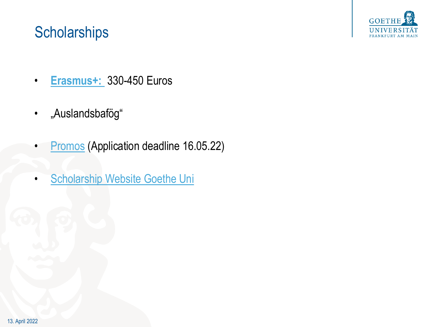# **GOETHE**

## **Scholarships**

- **[Erasmus+:](https://www.uni-frankfurt.de/99824925/spezielle_Informationen_f%C3%BCr_Outgoings_2021_22#accordeon-bb500ce8)** 330-450 Euros
- "Auslandsbafög"
- **[Promos](https://www.uni-frankfurt.de/38441643/PROMOS)** (Application deadline 16.05.22)
- [Scholarship Website Goethe Uni](https://www.uni-frankfurt.de/60311080/Stipendien?)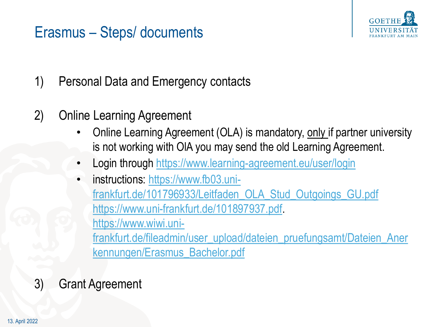

## Erasmus – Steps/ documents

- 1) Personal Data and Emergency contacts
- 2) Online Learning Agreement
	- Online Learning Agreement (OLA) is mandatory, only if partner university is not working with OlA you may send the old Learning Agreement.
	- Login through <https://www.learning-agreement.eu/user/login>
	- instructions: https://www.fb03.uni[frankfurt.de/101796933/Leitfaden\\_OLA\\_Stud\\_Outgoings\\_GU.pdf](https://www.fb03.uni-frankfurt.de/101796933/Leitfaden_OLA_Stud_Outgoings_GU.pdf) [https://www.uni-frankfurt.de/101897937.pdf.](https://www.uni-frankfurt.de/101897937.pdf) https://www.wiwi.uni[frankfurt.de/fileadmin/user\\_upload/dateien\\_pruefungsamt/Dateien\\_Aner](https://www.wiwi.uni-frankfurt.de/fileadmin/user_upload/dateien_pruefungsamt/Dateien_Anerkennungen/Erasmus_Bachelor.pdf) kennungen/Erasmus\_Bachelor.pdf
- 3) Grant Agreement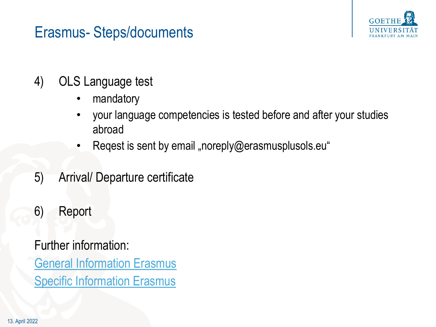

### Erasmus- Steps/documents

- 4) OLS Language test
	- mandatory
	- your language competencies is tested before and after your studies abroad
	- Reqest is sent by email "noreply@erasmusplusols.eu"
- 5) Arrival/ Departure certificate
- 6) Report

Further information: [General Information Erasmus](https://www.uni-frankfurt.de/38298604/Allgemeine_Informationen_f%C3%BCr_Outgoings) **[Specific Information Erasmus](https://www.uni-frankfurt.de/60037505/spezielle_Informationen_f%C3%BCr_Outgoings_2020_21)**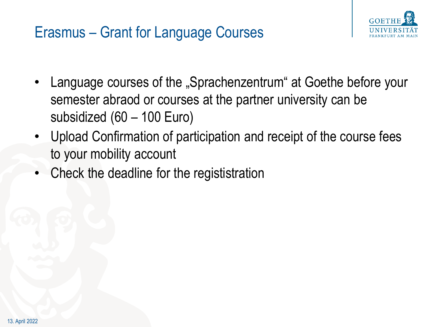# Erasmus – Grant for Language Courses



- Language courses of the "Sprachenzentrum" at Goethe before your semester abraod or courses at the partner university can be subsidized (60 – 100 Euro)
- Upload Confirmation of participation and receipt of the course fees to your mobility account
- Check the deadline for the regististration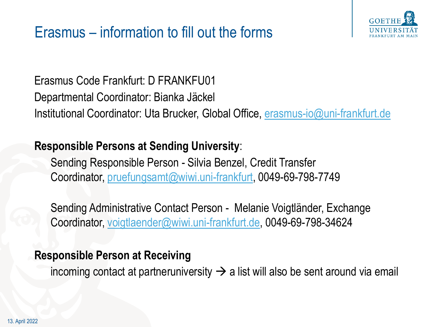## Erasmus – information to fill out the forms



Erasmus Code Frankfurt: D FRANKFU01 Departmental Coordinator: Bianka Jäckel Institutional Coordinator: Uta Brucker, Global Office, [erasmus-io@uni-frankfurt.de](mailto:erasmus-io@uni-frankfurt.de)

#### **Responsible Persons at Sending University**:

Sending Responsible Person - Silvia Benzel, Credit Transfer Coordinator, [pruefungsamt@wiwi.uni-frankfurt,](mailto:pruefungsamt@wiwi.uni-frankfurt) 0049-69-798-7749

Sending Administrative Contact Person - Melanie Voigtländer, Exchange Coordinator, [voigtlaender@wiwi.uni-frankfurt.de,](mailto:voigtlaender@wiwi.uni-frankfurt.de) 0049-69-798-34624

#### **Responsible Person at Receiving**

incoming contact at partneruniversity  $\rightarrow$  a list will also be sent around via email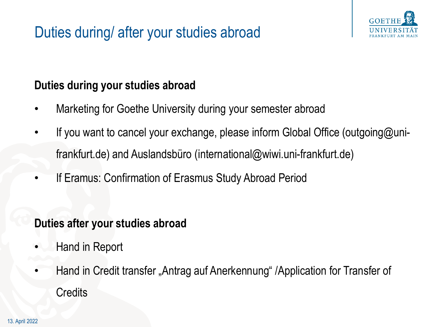# Duties during/ after your studies abroad



#### **Duties during your studies abroad**

- Marketing for Goethe University during your semester abroad
- If you want to cancel your exchange, please inform Global Office (outgoing  $@$ unifrankfurt.de) and Auslandsbüro (international@wiwi.uni-frankfurt.de)
- If Eramus: Confirmation of Erasmus Study Abroad Period

#### **Duties after your studies abroad**

- Hand in Report
- Hand in Credit transfer "Antrag auf Anerkennung" /Application for Transfer of **Credits**